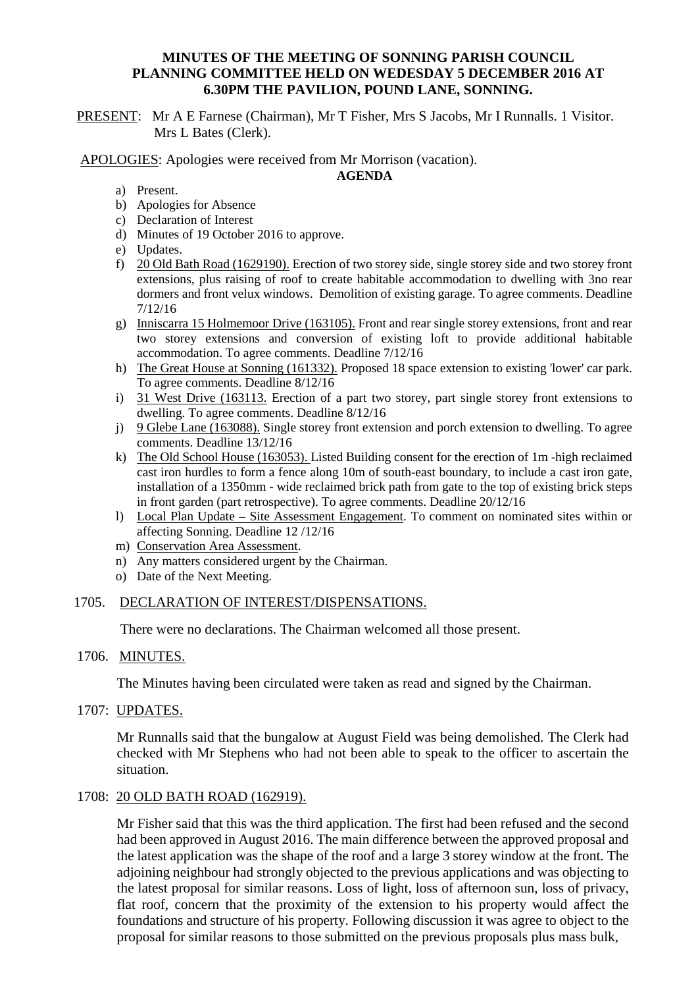## **MINUTES OF THE MEETING OF SONNING PARISH COUNCIL PLANNING COMMITTEE HELD ON WEDESDAY 5 DECEMBER 2016 AT 6.30PM THE PAVILION, POUND LANE, SONNING.**

PRESENT: Mr A E Farnese (Chairman), Mr T Fisher, Mrs S Jacobs, Mr I Runnalls. 1 Visitor. Mrs L Bates (Clerk).

APOLOGIES: Apologies were received from Mr Morrison (vacation).

#### **AGENDA**

- a) Present.
- b) Apologies for Absence
- c) Declaration of Interest
- d) Minutes of 19 October 2016 to approve.
- e) Updates.
- f) 20 Old Bath Road (1629190). Erection of two storey side, single storey side and two storey front extensions, plus raising of roof to create habitable accommodation to dwelling with 3no rear dormers and front velux windows. Demolition of existing garage. To agree comments. Deadline 7/12/16
- g) Inniscarra 15 Holmemoor Drive (163105). Front and rear single storey extensions, front and rear two storey extensions and conversion of existing loft to provide additional habitable accommodation. To agree comments. Deadline 7/12/16
- h) The Great House at Sonning (161332). Proposed 18 space extension to existing 'lower' car park. To agree comments. Deadline 8/12/16
- i) 31 West Drive (163113. Erection of a part two storey, part single storey front extensions to dwelling. To agree comments. Deadline 8/12/16
- j) 9 Glebe Lane (163088). Single storey front extension and porch extension to dwelling. To agree comments. Deadline 13/12/16
- k) The Old School House (163053). Listed Building consent for the erection of 1m -high reclaimed cast iron hurdles to form a fence along 10m of south-east boundary, to include a cast iron gate, installation of a 1350mm - wide reclaimed brick path from gate to the top of existing brick steps in front garden (part retrospective). To agree comments. Deadline 20/12/16
- l) Local Plan Update Site Assessment Engagement. To comment on nominated sites within or affecting Sonning. Deadline 12 /12/16
- m) Conservation Area Assessment.
- n) Any matters considered urgent by the Chairman.
- o) Date of the Next Meeting.

## 1705. DECLARATION OF INTEREST/DISPENSATIONS.

There were no declarations. The Chairman welcomed all those present.

## 1706. MINUTES.

The Minutes having been circulated were taken as read and signed by the Chairman.

1707: UPDATES.

Mr Runnalls said that the bungalow at August Field was being demolished. The Clerk had checked with Mr Stephens who had not been able to speak to the officer to ascertain the situation.

## 1708: 20 OLD BATH ROAD (162919).

Mr Fisher said that this was the third application. The first had been refused and the second had been approved in August 2016. The main difference between the approved proposal and the latest application was the shape of the roof and a large 3 storey window at the front. The adjoining neighbour had strongly objected to the previous applications and was objecting to the latest proposal for similar reasons. Loss of light, loss of afternoon sun, loss of privacy, flat roof, concern that the proximity of the extension to his property would affect the foundations and structure of his property. Following discussion it was agree to object to the proposal for similar reasons to those submitted on the previous proposals plus mass bulk,